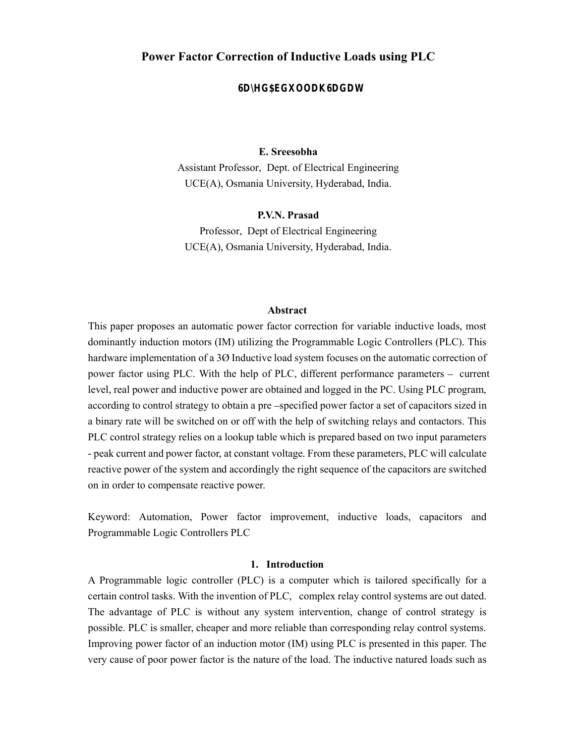## P**ower Factor Correction of Inductive Loads using PLC**

**a** ed du a adat

Member of Regime, National Load Control Center (NLCC) Afghanistan's National Power Utility (DABS) Sayed\_abdullah@ieee.org

### E. Sreesobha

Assistant Professor, Dept. of Electrical Engineering UCE(A), Osmania University, Hyderabad, India.

#### P.V.N. Prasad

Professor, Dept of Electrical Engineering UCE(A), Osmania University, Hyderabad, India.

#### Abstract

This paper proposes an automatic power factor correction for variable inductive loads, most dominantly induction motors (IM) utilizing the Programmable Logic Controllers (PLC). This hardware implementation of a 3Ø Inductive load system focuses on the automatic correction of power factor using PLC. With the help of PLC, different performance parameters  $-$  current level, real power and inductive power are obtained and logged in the PC. Using PLC program, according to control strategy to obtain a pre-specified power factor a set of capacitors sized in a binary rate will be switched on or off with the help of switching relays and contactors. This PLC control strategy relies on a lookup table which is prepared based on two input parameters - peak current and power factor, at constant voltage. From these parameters, PLC will calculate reactive power of the system and accordingly the right sequence of the capacitors are switched on in order to compensate reactive power.

Keyword: Automation, Power factor improvement, inductive loads, capacitors and Programmable Logic Controllers PLC

#### 1. Introduction

A Programmable logic controller (PLC) is a computer which is tailored specifically for a certain control tasks. With the invention of PLC, complex relay control systems are out dated. The advantage of PLC is without any system intervention, change of control strategy is possible. PLC is smaller, cheaper and more reliable than corresponding relay control systems. Improving power factor of an induction motor (IM) using PLC is presented in this paper. The very cause of poor power factor is the nature of the load. The inductive natured loads such as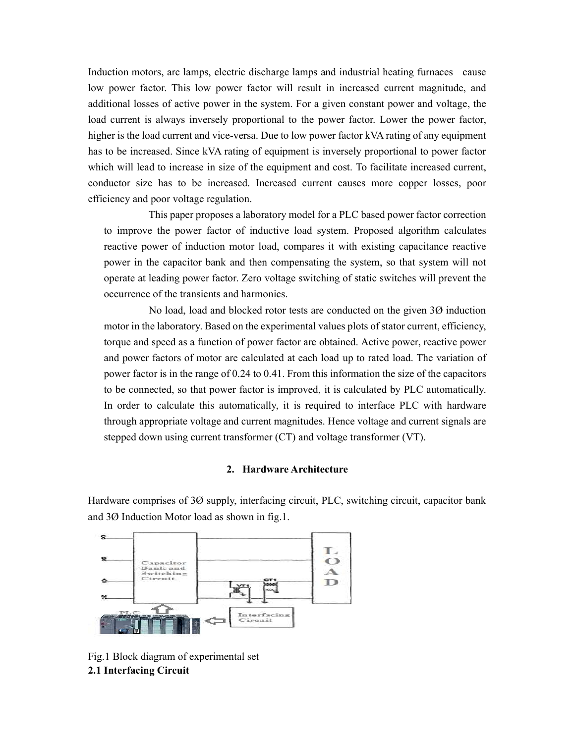Induction motors, arc lamps, electric discharge lamps and industrial heating furnaces cause low power factor. This low power factor will result in increased current magnitude, and additional losses of active power in the system. For a given constant power and voltage, the load current is always inversely proportional to the power factor. Lower the power factor, higher is the load current and vice-versa. Due to low power factor kVA rating of any equipment has to be increased. Since kVA rating of equipment is inversely proportional to power factor which will lead to increase in size of the equipment and cost. To facilitate increased current, conductor size has to be increased. Increased current causes more copper losses, poor efficiency and poor voltage regulation.

 This paper proposes a laboratory model for a PLC based power factor correction to improve the power factor of inductive load system. Proposed algorithm calculates reactive power of induction motor load, compares it with existing capacitance reactive power in the capacitor bank and then compensating the system, so that system will not operate at leading power factor. Zero voltage switching of static switches will prevent the occurrence of the transients and harmonics.

 No load, load and blocked rotor tests are conducted on the given 3Ø induction motor in the laboratory. Based on the experimental values plots of stator current, efficiency, torque and speed as a function of power factor are obtained. Active power, reactive power and power factors of motor are calculated at each load up to rated load. The variation of power factor is in the range of 0.24 to 0.41. From this information the size of the capacitors to be connected, so that power factor is improved, it is calculated by PLC automatically. In order to calculate this automatically, it is required to interface PLC with hardware through appropriate voltage and current magnitudes. Hence voltage and current signals are stepped down using current transformer (CT) and voltage transformer (VT).

### 2. Hardware Architecture

Hardware comprises of 3Ø supply, interfacing circuit, PLC, switching circuit, capacitor bank and 3Ø Induction Motor load as shown in fig.1.



Fig.1 Block diagram of experimental set 2.1 Interfacing Circuit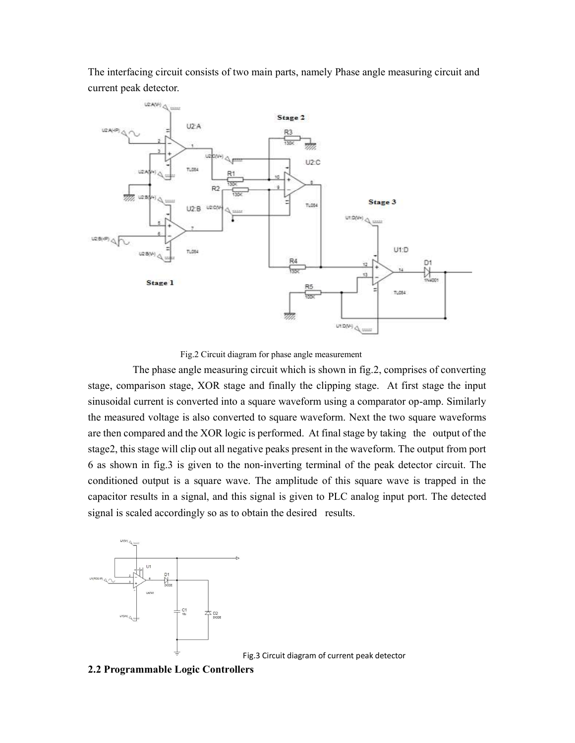The interfacing circuit consists of two main parts, namely Phase angle measuring circuit and current peak detector.



Fig.2 Circuit diagram for phase angle measurement

 The phase angle measuring circuit which is shown in fig.2, comprises of converting stage, comparison stage, XOR stage and finally the clipping stage. At first stage the input sinusoidal current is converted into a square waveform using a comparator op-amp. Similarly the measured voltage is also converted to square waveform. Next the two square waveforms are then compared and the XOR logic is performed. At final stage by taking the output of the stage2, this stage will clip out all negative peaks present in the waveform. The output from port 6 as shown in fig.3 is given to the non-inverting terminal of the peak detector circuit. The conditioned output is a square wave. The amplitude of this square wave is trapped in the capacitor results in a signal, and this signal is given to PLC analog input port. The detected signal is scaled accordingly so as to obtain the desired results.



Fig.3 Circuit diagram of current peak detector

#### 2.2 Programmable Logic Controllers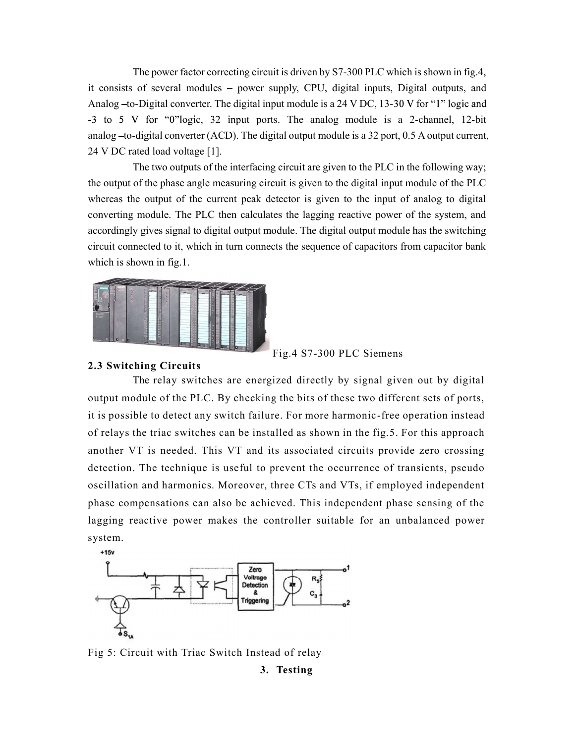The power factor correcting circuit is driven by S7-300 PLC which is shown in fig.4, it consists of several modules - power supply, CPU, digital inputs, Digital outputs, and Analog  $-$ to-Digital converter. The digital input module is a 24 V DC, 13-30 V for "1" logic and  $-3$  to 5 V for "0"logic, 32 input ports. The analog module is a 2-channel, 12-bit analog  $-$ to-digital converter (ACD). The digital output module is a 32 port, 0.5 A output current, 24 V DC rated load voltage [1].

 The two outputs of the interfacing circuit are given to the PLC in the following way; the output of the phase angle measuring circuit is given to the digital input module of the PLC whereas the output of the current peak detector is given to the input of analog to digital converting module. The PLC then calculates the lagging reactive power of the system, and accordingly gives signal to digital output module. The digital output module has the switching circuit connected to it, which in turn connects the sequence of capacitors from capacitor bank which is shown in fig.1.



Fig.4 S7-300 PLC Siemens

## 2.3 Switching Circuits

 The relay switches are energized directly by signal given out by digital output module of the PLC. By checking the bits of these two different sets of ports, it is possible to detect any switch failure. For more harmonic-free operation instead of relays the triac switches can be installed as shown in the fig.5. For this approach another VT is needed. This VT and its associated circuits provide zero crossing detection. The technique is useful to prevent the occurrence of transients, pseudo oscillation and harmonics. Moreover, three CTs and VTs, if employed independent phase compensations can also be achieved. This independent phase sensing of the lagging reactive power makes the controller suitable for an unbalanced power system.



Fig 5: Circuit with Triac Switch Instead of relay

3. Testing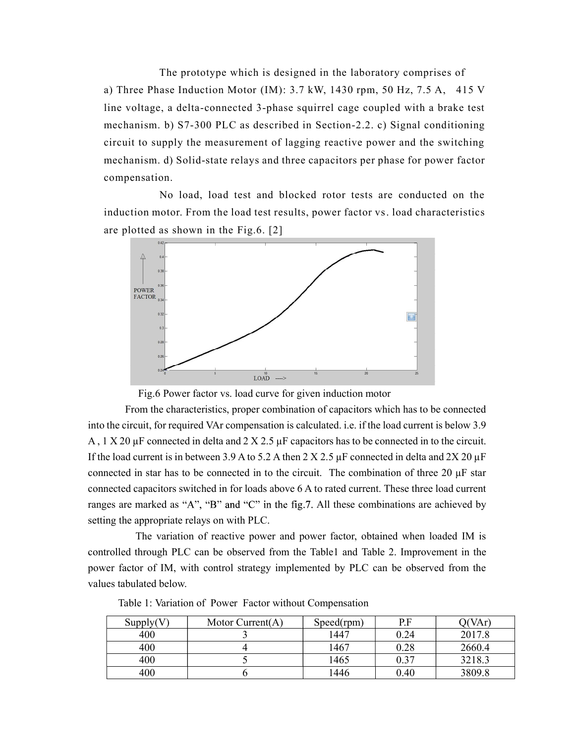The prototype which is designed in the laboratory comprises of a) Three Phase Induction Motor (IM): 3.7 kW, 1430 rpm, 50 Hz, 7.5 A, 415 V line voltage, a delta-connected 3-phase squirrel cage coupled with a brake test mechanism. b) S7-300 PLC as described in Section-2.2. c) Signal conditioning circuit to supply the measurement of lagging reactive power and the switching mechanism. d) Solid-state relays and three capacitors per phase for power factor compensation.

 No load, load test and blocked rotor tests are conducted on the induction motor. From the load test results, power factor vs. load characteristics are plotted as shown in the Fig.6. [2]



Fig.6 Power factor vs. load curve for given induction motor

 From the characteristics, proper combination of capacitors which has to be connected into the circuit, for required VAr compensation is calculated. i.e. if the load current is below 3.9 A , 1 X 20 µF connected in delta and 2 X 2.5 µF capacitors has to be connected in to the circuit. If the load current is in between 3.9 A to 5.2 A then 2 X 2.5  $\mu$ F connected in delta and 2X 20  $\mu$ F connected in star has to be connected in to the circuit. The combination of three 20  $\mu$ F star connected capacitors switched in for loads above 6 A to rated current. These three load current ranges are marked as "A", "B" and "C" in the fig.7. All these combinations are achieved by setting the appropriate relays on with PLC.

 The variation of reactive power and power factor, obtained when loaded IM is controlled through PLC can be observed from the Table1 and Table 2. Improvement in the power factor of IM, with control strategy implemented by PLC can be observed from the values tabulated below.

| Supply(V) | Motor $Current(A)$ | Speed(rpm) | P.F  | $\gamma$ (VAr) |
|-----------|--------------------|------------|------|----------------|
| 400       |                    | 1447       | 0.24 | 2017.8         |
| 400       |                    | 1467       | 0.28 | 2660.4         |
| 400       |                    | 1465       | 0.37 | 3218.3         |
| 400       |                    | 1446       | 0.40 | 3809.8         |

Table 1: Variation of Power Factor without Compensation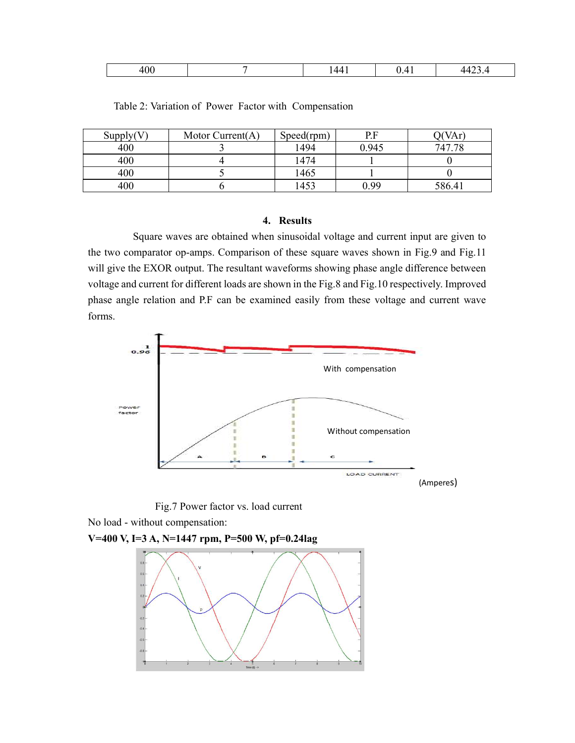| ∩∩<br>'VV<br>$\cdot$ $\cdot$ $\cdot$ | $\overline{\phantom{a}}$<br>.<br>$\overline{\phantom{a}}$ | . | .<br>. |
|--------------------------------------|-----------------------------------------------------------|---|--------|
|--------------------------------------|-----------------------------------------------------------|---|--------|

| Supply(V) | Motor Current $(A)$ | Speed(rpm) | P.F   | VAr)   |
|-----------|---------------------|------------|-------|--------|
| 400       |                     | 1494       | 0.945 | 747.78 |
| 400       |                     | 1474       |       |        |
| 400       |                     | 1465       |       |        |
| 400       |                     | 1453       | 0.99  | 586.41 |

Table 2: Variation of Power Factor with Compensation

## 4. Results

 Square waves are obtained when sinusoidal voltage and current input are given to the two comparator op-amps. Comparison of these square waves shown in Fig.9 and Fig.11 will give the EXOR output. The resultant waveforms showing phase angle difference between voltage and current for different loads are shown in the Fig.8 and Fig.10 respectively. Improved phase angle relation and P.F can be examined easily from these voltage and current wave forms.



Fig.7 Power factor vs. load current

No load - without compensation:

V=400 V, I=3 A, N=1447 rpm, P=500 W, pf=0.24lag

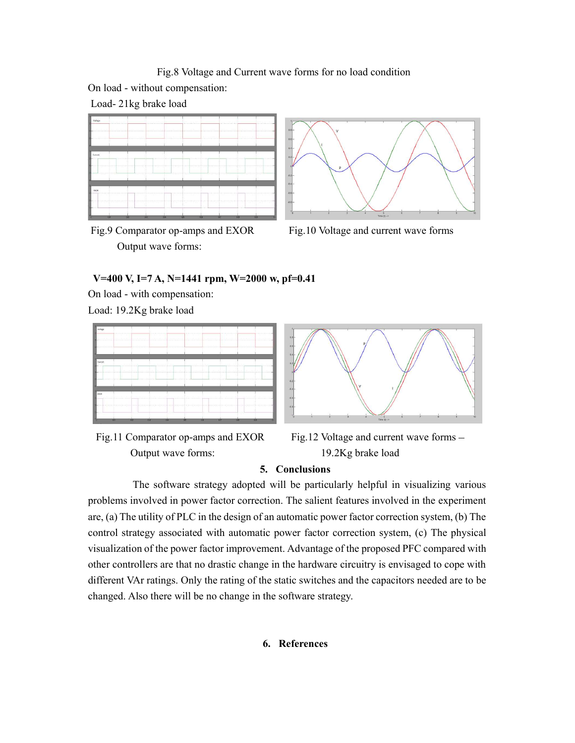Fig.8 Voltage and Current wave forms for no load condition

On load - without compensation:

Load- 21kg brake load



Output wave forms:



Fig.9 Comparator op-amps and EXOR Fig.10 Voltage and current wave forms

# V=400 V, I=7 A, N=1441 rpm, W=2000 w, pf=0.41

On load - with compensation:

Load: 19.2Kg brake load





Fig.11 Comparator op-amps and EXOR Fig.12 Voltage and current wave forms – Output wave forms: 19.2Kg brake load

## 5. Conclusions

 The software strategy adopted will be particularly helpful in visualizing various problems involved in power factor correction. The salient features involved in the experiment are, (a) The utility of PLC in the design of an automatic power factor correction system, (b) The control strategy associated with automatic power factor correction system, (c) The physical visualization of the power factor improvement. Advantage of the proposed PFC compared with other controllers are that no drastic change in the hardware circuitry is envisaged to cope with different VAr ratings. Only the rating of the static switches and the capacitors needed are to be changed. Also there will be no change in the software strategy.

# 6. References